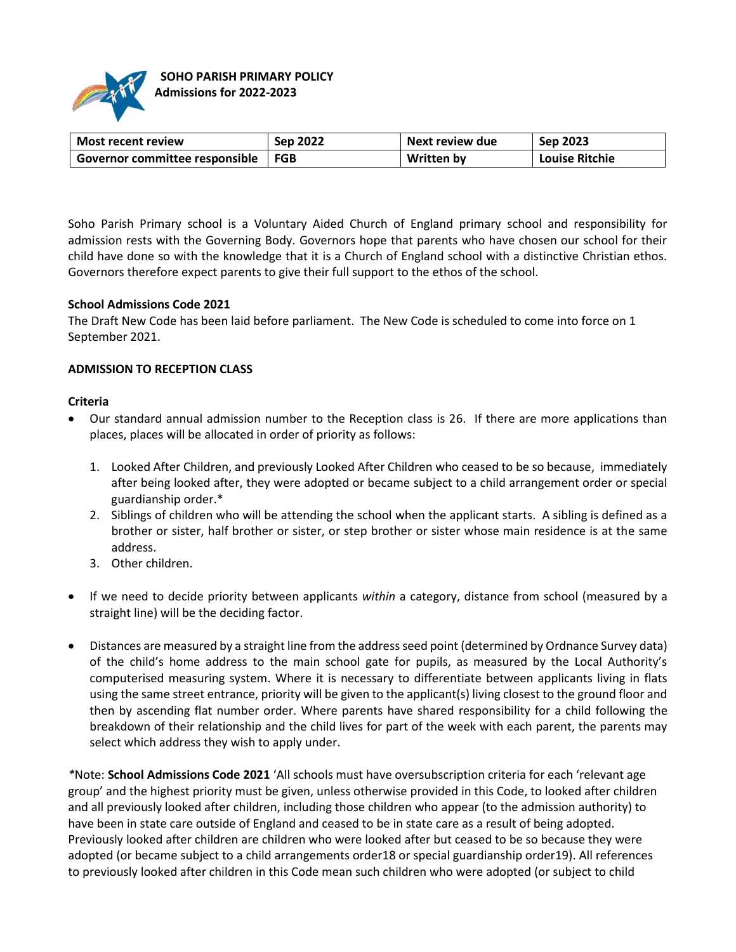

| Most recent review               | Sep 2022 | Next review due | Sep 2023              |
|----------------------------------|----------|-----------------|-----------------------|
| ' Governor committee responsible | FGB      | Written by      | <b>Louise Ritchie</b> |

Soho Parish Primary school is a Voluntary Aided Church of England primary school and responsibility for admission rests with the Governing Body. Governors hope that parents who have chosen our school for their child have done so with the knowledge that it is a Church of England school with a distinctive Christian ethos. Governors therefore expect parents to give their full support to the ethos of the school.

#### **School Admissions Code 2021**

The Draft New Code has been laid before parliament. The New Code is scheduled to come into force on 1 September 2021.

## **ADMISSION TO RECEPTION CLASS**

#### **Criteria**

- Our standard annual admission number to the Reception class is 26. If there are more applications than places, places will be allocated in order of priority as follows:
	- 1. Looked After Children, and previously Looked After Children who ceased to be so because, immediately after being looked after, they were adopted or became subject to a child arrangement order or special guardianship order.\*
	- 2. Siblings of children who will be attending the school when the applicant starts. A sibling is defined as a brother or sister, half brother or sister, or step brother or sister whose main residence is at the same address.
	- 3. Other children.
- If we need to decide priority between applicants *within* a category, distance from school (measured by a straight line) will be the deciding factor.
- Distances are measured by a straight line from the address seed point (determined by Ordnance Survey data) of the child's home address to the main school gate for pupils, as measured by the Local Authority's computerised measuring system. Where it is necessary to differentiate between applicants living in flats using the same street entrance, priority will be given to the applicant(s) living closest to the ground floor and then by ascending flat number order. Where parents have shared responsibility for a child following the breakdown of their relationship and the child lives for part of the week with each parent, the parents may select which address they wish to apply under.

*\**Note: **School Admissions Code 2021** 'All schools must have oversubscription criteria for each 'relevant age group' and the highest priority must be given, unless otherwise provided in this Code, to looked after children and all previously looked after children, including those children who appear (to the admission authority) to have been in state care outside of England and ceased to be in state care as a result of being adopted. Previously looked after children are children who were looked after but ceased to be so because they were adopted (or became subject to a child arrangements order18 or special guardianship order19). All references to previously looked after children in this Code mean such children who were adopted (or subject to child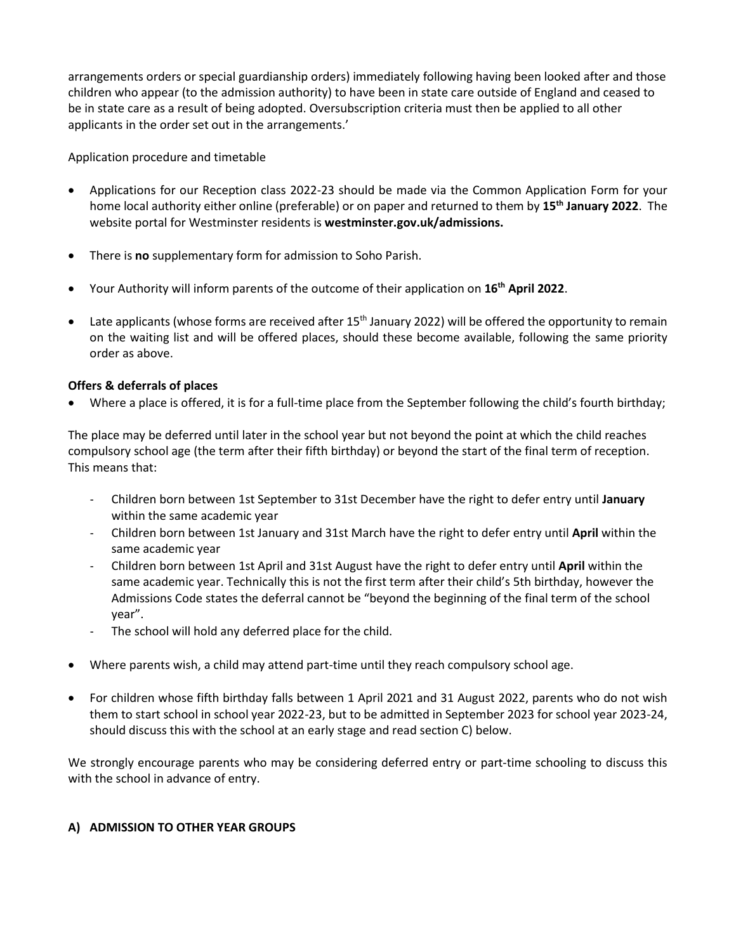arrangements orders or special guardianship orders) immediately following having been looked after and those children who appear (to the admission authority) to have been in state care outside of England and ceased to be in state care as a result of being adopted. Oversubscription criteria must then be applied to all other applicants in the order set out in the arrangements.'

Application procedure and timetable

- Applications for our Reception class 2022-23 should be made via the Common Application Form for your home local authority either online (preferable) or on paper and returned to them by **15th January 2022**. The website portal for Westminster residents is **westminster.gov.uk/admissions.**
- There is **no** supplementary form for admission to Soho Parish.
- Your Authority will inform parents of the outcome of their application on **16th April 2022**.
- $\bullet$  Late applicants (whose forms are received after 15<sup>th</sup> January 2022) will be offered the opportunity to remain on the waiting list and will be offered places, should these become available, following the same priority order as above.

# **Offers & deferrals of places**

Where a place is offered, it is for a full-time place from the September following the child's fourth birthday;

The place may be deferred until later in the school year but not beyond the point at which the child reaches compulsory school age (the term after their fifth birthday) or beyond the start of the final term of reception. This means that:

- Children born between 1st September to 31st December have the right to defer entry until **January**  within the same academic year
- Children born between 1st January and 31st March have the right to defer entry until **April** within the same academic year
- Children born between 1st April and 31st August have the right to defer entry until **April** within the same academic year. Technically this is not the first term after their child's 5th birthday, however the Admissions Code states the deferral cannot be "beyond the beginning of the final term of the school year".
- The school will hold any deferred place for the child.
- Where parents wish, a child may attend part-time until they reach compulsory school age.
- For children whose fifth birthday falls between 1 April 2021 and 31 August 2022, parents who do not wish them to start school in school year 2022-23, but to be admitted in September 2023 for school year 2023-24, should discuss this with the school at an early stage and read section C) below.

We strongly encourage parents who may be considering deferred entry or part-time schooling to discuss this with the school in advance of entry.

# **A) ADMISSION TO OTHER YEAR GROUPS**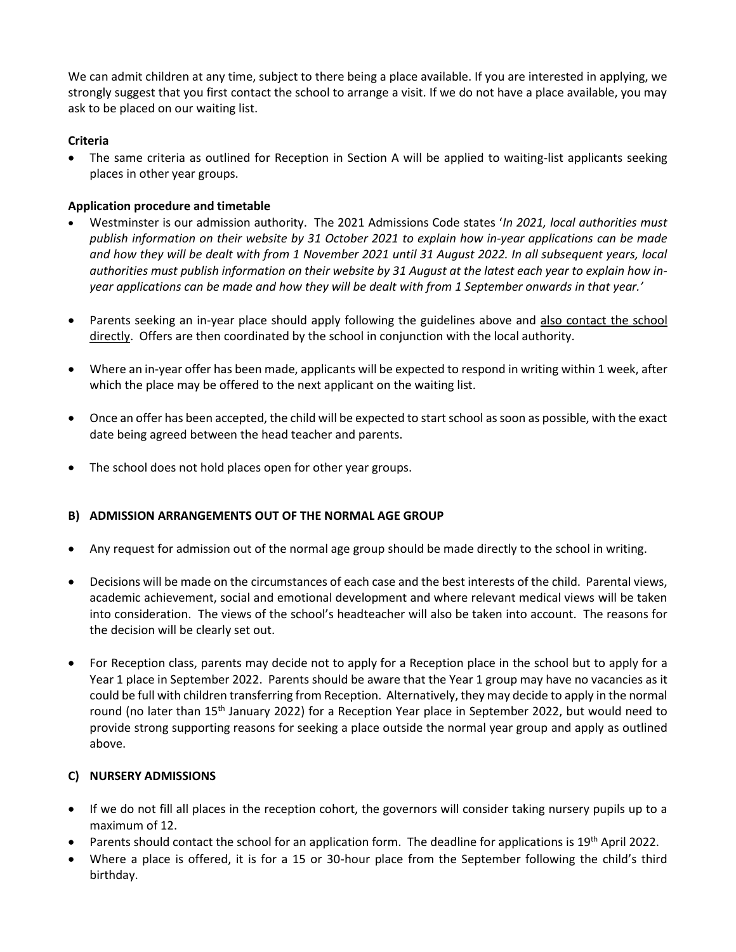We can admit children at any time, subject to there being a place available. If you are interested in applying, we strongly suggest that you first contact the school to arrange a visit. If we do not have a place available, you may ask to be placed on our waiting list.

## **Criteria**

 The same criteria as outlined for Reception in Section A will be applied to waiting-list applicants seeking places in other year groups.

## **Application procedure and timetable**

- Westminster is our admission authority. The 2021 Admissions Code states '*In 2021, local authorities must publish information on their website by 31 October 2021 to explain how in-year applications can be made and how they will be dealt with from 1 November 2021 until 31 August 2022. In all subsequent years, local authorities must publish information on their website by 31 August at the latest each year to explain how inyear applications can be made and how they will be dealt with from 1 September onwards in that year.'*
- Parents seeking an in-year place should apply following the guidelines above and also contact the school directly. Offers are then coordinated by the school in conjunction with the local authority.
- Where an in-year offer has been made, applicants will be expected to respond in writing within 1 week, after which the place may be offered to the next applicant on the waiting list.
- Once an offer has been accepted, the child will be expected to start school as soon as possible, with the exact date being agreed between the head teacher and parents.
- The school does not hold places open for other year groups.

## **B) ADMISSION ARRANGEMENTS OUT OF THE NORMAL AGE GROUP**

- Any request for admission out of the normal age group should be made directly to the school in writing.
- Decisions will be made on the circumstances of each case and the best interests of the child. Parental views, academic achievement, social and emotional development and where relevant medical views will be taken into consideration. The views of the school's headteacher will also be taken into account. The reasons for the decision will be clearly set out.
- For Reception class, parents may decide not to apply for a Reception place in the school but to apply for a Year 1 place in September 2022. Parents should be aware that the Year 1 group may have no vacancies as it could be full with children transferring from Reception. Alternatively, they may decide to apply in the normal round (no later than 15<sup>th</sup> January 2022) for a Reception Year place in September 2022, but would need to provide strong supporting reasons for seeking a place outside the normal year group and apply as outlined above.

## **C) NURSERY ADMISSIONS**

- If we do not fill all places in the reception cohort, the governors will consider taking nursery pupils up to a maximum of 12.
- **Parents should contact the school for an application form. The deadline for applications is 19th April 2022.**
- Where a place is offered, it is for a 15 or 30-hour place from the September following the child's third birthday.